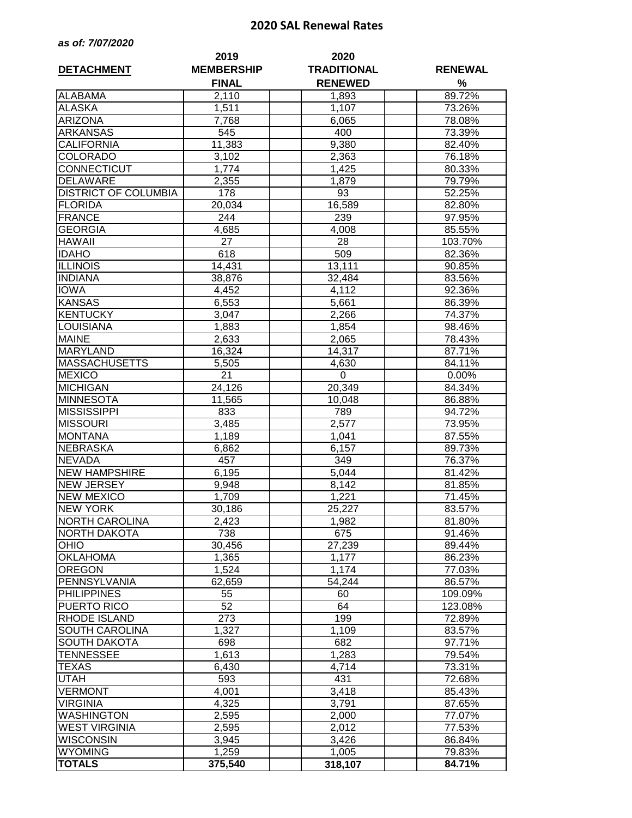## **2020 SAL Renewal Rates**

*as of: 7/07/2020*

| <b>DETACHMENT</b>           | 2019<br><b>MEMBERSHIP</b> | 2020<br><b>TRADITIONAL</b> | <b>RENEWAL</b>   |  |
|-----------------------------|---------------------------|----------------------------|------------------|--|
|                             | <b>FINAL</b>              | <b>RENEWED</b>             | %                |  |
| <b>ALABAMA</b>              | 2,110                     | 1,893                      | 89.72%           |  |
| <b>ALASKA</b>               | 1,511                     | 1,107                      | 73.26%           |  |
| <b>ARIZONA</b>              | 7,768                     | 6,065                      | 78.08%           |  |
| <b>ARKANSAS</b>             | 545                       | 400                        | 73.39%           |  |
| <b>CALIFORNIA</b>           | 11,383                    | 9,380                      | 82.40%           |  |
| <b>COLORADO</b>             | 3,102                     | 2,363                      | 76.18%           |  |
| CONNECTICUT                 | 1,774                     | 1,425                      | 80.33%           |  |
| <b>DELAWARE</b>             | 2,355                     | 1,879                      | 79.79%           |  |
| <b>DISTRICT OF COLUMBIA</b> | 178                       | 93                         | 52.25%           |  |
| <b>FLORIDA</b>              | 20,034                    | 16,589                     | 82.80%           |  |
| <b>FRANCE</b>               | 244                       | 239                        | 97.95%           |  |
| <b>GEORGIA</b>              | 4,685                     | 4,008                      | 85.55%           |  |
| <b>HAWAII</b>               | 27                        | 28                         | 103.70%          |  |
| <b>IDAHO</b>                |                           | 509                        |                  |  |
| <b>ILLINOIS</b>             | 618<br>14,431             | 13.111                     | 82.36%           |  |
| <b>INDIANA</b>              |                           |                            | 90.85%<br>83.56% |  |
|                             | 38,876                    | 32,484                     |                  |  |
| <b>IOWA</b>                 | 4,452                     | 4,112                      | 92.36%           |  |
| <b>KANSAS</b>               | 6,553                     | 5,661                      | 86.39%           |  |
| <b>KENTUCKY</b>             | 3,047                     | 2,266                      | 74.37%           |  |
| LOUISIANA                   | 1,883                     | 1,854                      | 98.46%           |  |
| <b>MAINE</b>                | 2,633                     | 2,065                      | 78.43%           |  |
| <b>MARYLAND</b>             | 16,324                    | 14,317                     | 87.71%           |  |
| <b>MASSACHUSETTS</b>        | 5,505                     | 4,630                      | 84.11%           |  |
| <b>MEXICO</b>               | 21                        | 0                          | 0.00%            |  |
| <b>MICHIGAN</b>             | 24,126                    | 20,349                     | 84.34%           |  |
| <b>MINNESOTA</b>            | 11,565                    | 10,048                     | 86.88%           |  |
| <b>MISSISSIPPI</b>          | 833                       | 789                        | 94.72%           |  |
| <b>MISSOURI</b>             | 3,485                     | 2,577                      | 73.95%           |  |
| <b>MONTANA</b>              | 1,189                     | 1,041                      | 87.55%           |  |
| <b>NEBRASKA</b>             | 6,862                     | 6,157                      | 89.73%           |  |
| <b>NEVADA</b>               | 457                       | 349                        | 76.37%           |  |
| <b>NEW HAMPSHIRE</b>        | 6,195                     | 5,044                      | 81.42%           |  |
| <b>NEW JERSEY</b>           | 9,948                     | 8,142                      | 81.85%           |  |
| <b>NEW MEXICO</b>           | 1,709                     | 1,221                      | 71.45%           |  |
| <b>NEW YORK</b>             | 30,186                    | 25,227                     | 83.57%           |  |
| <b>NORTH CAROLINA</b>       | 2,423                     | 1,982                      | 81.80%           |  |
| <b>NORTH DAKOTA</b>         | 738                       | 675                        | 91.46%           |  |
| <b>OHIO</b>                 | 30,456                    | 27,239                     | 89.44%           |  |
| <b>OKLAHOMA</b>             | 1,365                     | 1,177                      | 86.23%           |  |
| <b>OREGON</b>               | 1,524                     | 1,174                      | 77.03%           |  |
| PENNSYLVANIA                | 62,659                    | 54,244                     | 86.57%           |  |
| <b>PHILIPPINES</b>          | 55                        | 60                         | 109.09%          |  |
| PUERTO RICO                 | 52                        | 64                         | 123.08%          |  |
| <b>RHODE ISLAND</b>         | 273                       | 199                        | 72.89%           |  |
| SOUTH CAROLINA              | 1,327                     | 1,109                      | 83.57%           |  |
| <b>SOUTH DAKOTA</b>         | 698                       | 682                        | 97.71%           |  |
| TENNESSEE                   | 1,613                     | 1,283                      | 79.54%           |  |
| TEXAS                       | 6,430                     | 4,714                      | 73.31%           |  |
| UTAH                        | 593                       | 431                        | 72.68%           |  |
| <b>VERMONT</b>              | 4,001                     | 3,418                      | 85.43%           |  |
| <b>VIRGINIA</b>             | 4,325                     | 3,791                      | 87.65%           |  |
| <b>WASHINGTON</b>           | 2,595                     | 2,000                      | 77.07%           |  |
| <b>WEST VIRGINIA</b>        | 2,595                     | 2,012                      | 77.53%           |  |
| <b>WISCONSIN</b>            | 3,945                     | 3,426                      | 86.84%           |  |
| <b>WYOMING</b>              | 1,259                     | 1,005                      | 79.83%           |  |
| <b>TOTALS</b>               | 375,540                   | 318,107                    | 84.71%           |  |